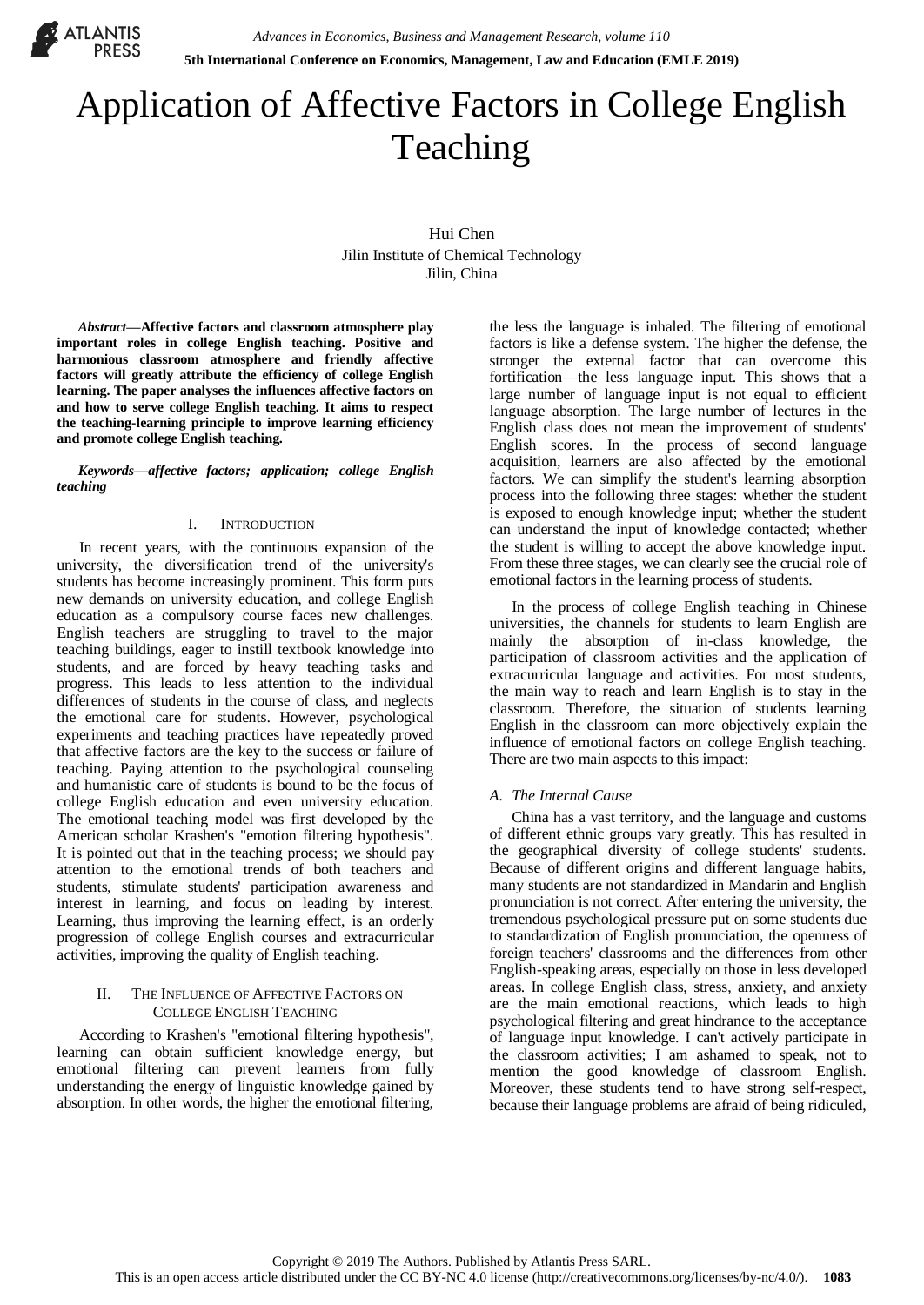

# Application of Affective Factors in College English Teaching

Hui Chen Jilin Institute of Chemical Technology Jilin, China

*Abstract***—Affective factors and classroom atmosphere play important roles in college English teaching. Positive and harmonious classroom atmosphere and friendly affective factors will greatly attribute the efficiency of college English learning. The paper analyses the influences affective factors on and how to serve college English teaching. It aims to respect the teaching-learning principle to improve learning efficiency and promote college English teaching.**

*Keywords—affective factors; application; college English teaching*

#### I. INTRODUCTION

In recent years, with the continuous expansion of the university, the diversification trend of the university's students has become increasingly prominent. This form puts new demands on university education, and college English education as a compulsory course faces new challenges. English teachers are struggling to travel to the major teaching buildings, eager to instill textbook knowledge into students, and are forced by heavy teaching tasks and progress. This leads to less attention to the individual differences of students in the course of class, and neglects the emotional care for students. However, psychological experiments and teaching practices have repeatedly proved that affective factors are the key to the success or failure of teaching. Paying attention to the psychological counseling and humanistic care of students is bound to be the focus of college English education and even university education. The emotional teaching model was first developed by the American scholar Krashen's "emotion filtering hypothesis". It is pointed out that in the teaching process; we should pay attention to the emotional trends of both teachers and students, stimulate students' participation awareness and interest in learning, and focus on leading by interest. Learning, thus improving the learning effect, is an orderly progression of college English courses and extracurricular activities, improving the quality of English teaching.

#### II. THE INFLUENCE OF AFFECTIVE FACTORS ON COLLEGE ENGLISH TEACHING

According to Krashen's "emotional filtering hypothesis", learning can obtain sufficient knowledge energy, but emotional filtering can prevent learners from fully understanding the energy of linguistic knowledge gained by absorption. In other words, the higher the emotional filtering,

the less the language is inhaled. The filtering of emotional factors is like a defense system. The higher the defense, the stronger the external factor that can overcome this fortification—the less language input. This shows that a large number of language input is not equal to efficient language absorption. The large number of lectures in the English class does not mean the improvement of students' English scores. In the process of second language acquisition, learners are also affected by the emotional factors. We can simplify the student's learning absorption process into the following three stages: whether the student is exposed to enough knowledge input; whether the student can understand the input of knowledge contacted; whether the student is willing to accept the above knowledge input. From these three stages, we can clearly see the crucial role of emotional factors in the learning process of students.

In the process of college English teaching in Chinese universities, the channels for students to learn English are mainly the absorption of in-class knowledge, the participation of classroom activities and the application of extracurricular language and activities. For most students, the main way to reach and learn English is to stay in the classroom. Therefore, the situation of students learning English in the classroom can more objectively explain the influence of emotional factors on college English teaching. There are two main aspects to this impact:

### *A. The Internal Cause*

China has a vast territory, and the language and customs of different ethnic groups vary greatly. This has resulted in the geographical diversity of college students' students. Because of different origins and different language habits, many students are not standardized in Mandarin and English pronunciation is not correct. After entering the university, the tremendous psychological pressure put on some students due to standardization of English pronunciation, the openness of foreign teachers' classrooms and the differences from other English-speaking areas, especially on those in less developed areas. In college English class, stress, anxiety, and anxiety are the main emotional reactions, which leads to high psychological filtering and great hindrance to the acceptance of language input knowledge. I can't actively participate in the classroom activities; I am ashamed to speak, not to mention the good knowledge of classroom English. Moreover, these students tend to have strong self-respect, because their language problems are afraid of being ridiculed,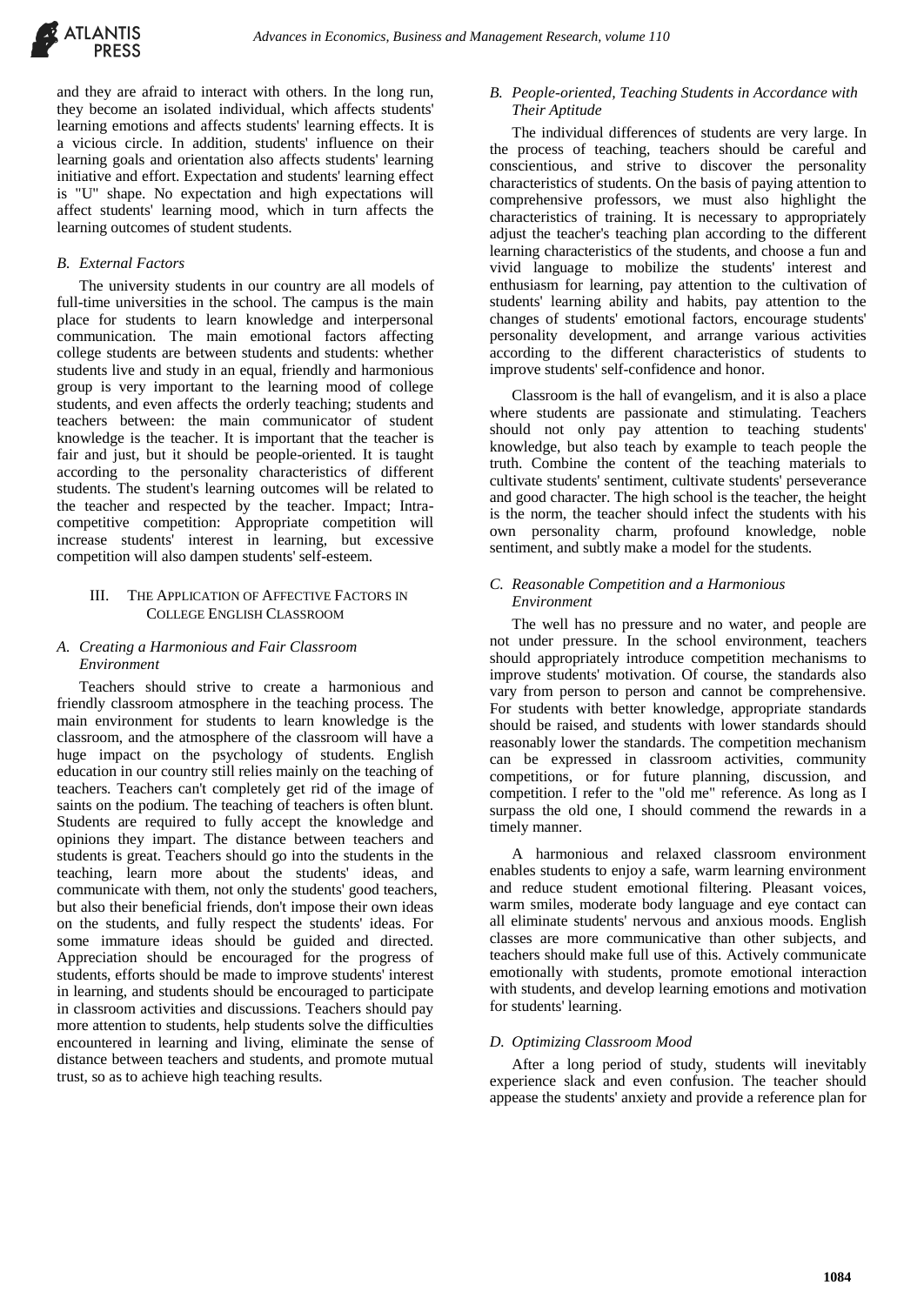

and they are afraid to interact with others. In the long run, they become an isolated individual, which affects students' learning emotions and affects students' learning effects. It is a vicious circle. In addition, students' influence on their learning goals and orientation also affects students' learning initiative and effort. Expectation and students' learning effect is "U" shape. No expectation and high expectations will affect students' learning mood, which in turn affects the learning outcomes of student students.

#### *B. External Factors*

The university students in our country are all models of full-time universities in the school. The campus is the main place for students to learn knowledge and interpersonal communication. The main emotional factors affecting college students are between students and students: whether students live and study in an equal, friendly and harmonious group is very important to the learning mood of college students, and even affects the orderly teaching; students and teachers between: the main communicator of student knowledge is the teacher. It is important that the teacher is fair and just, but it should be people-oriented. It is taught according to the personality characteristics of different students. The student's learning outcomes will be related to the teacher and respected by the teacher. Impact; Intracompetitive competition: Appropriate competition will increase students' interest in learning, but excessive competition will also dampen students' self-esteem.

#### III. THE APPLICATION OF AFFECTIVE FACTORS IN COLLEGE ENGLISH CLASSROOM

#### *A. Creating a Harmonious and Fair Classroom Environment*

Teachers should strive to create a harmonious and friendly classroom atmosphere in the teaching process. The main environment for students to learn knowledge is the classroom, and the atmosphere of the classroom will have a huge impact on the psychology of students. English education in our country still relies mainly on the teaching of teachers. Teachers can't completely get rid of the image of saints on the podium. The teaching of teachers is often blunt. Students are required to fully accept the knowledge and opinions they impart. The distance between teachers and students is great. Teachers should go into the students in the teaching, learn more about the students' ideas, and communicate with them, not only the students' good teachers, but also their beneficial friends, don't impose their own ideas on the students, and fully respect the students' ideas. For some immature ideas should be guided and directed. Appreciation should be encouraged for the progress of students, efforts should be made to improve students' interest in learning, and students should be encouraged to participate in classroom activities and discussions. Teachers should pay more attention to students, help students solve the difficulties encountered in learning and living, eliminate the sense of distance between teachers and students, and promote mutual trust, so as to achieve high teaching results.

# *B. People-oriented, Teaching Students in Accordance with Their Aptitude*

The individual differences of students are very large. In the process of teaching, teachers should be careful and conscientious, and strive to discover the personality characteristics of students. On the basis of paying attention to comprehensive professors, we must also highlight the characteristics of training. It is necessary to appropriately adjust the teacher's teaching plan according to the different learning characteristics of the students, and choose a fun and vivid language to mobilize the students' interest and enthusiasm for learning, pay attention to the cultivation of students' learning ability and habits, pay attention to the changes of students' emotional factors, encourage students' personality development, and arrange various activities according to the different characteristics of students to improve students' self-confidence and honor.

Classroom is the hall of evangelism, and it is also a place where students are passionate and stimulating. Teachers should not only pay attention to teaching students' knowledge, but also teach by example to teach people the truth. Combine the content of the teaching materials to cultivate students' sentiment, cultivate students' perseverance and good character. The high school is the teacher, the height is the norm, the teacher should infect the students with his own personality charm, profound knowledge, noble sentiment, and subtly make a model for the students.

## *C. Reasonable Competition and a Harmonious Environment*

The well has no pressure and no water, and people are not under pressure. In the school environment, teachers should appropriately introduce competition mechanisms to improve students' motivation. Of course, the standards also vary from person to person and cannot be comprehensive. For students with better knowledge, appropriate standards should be raised, and students with lower standards should reasonably lower the standards. The competition mechanism can be expressed in classroom activities, community competitions, or for future planning, discussion, and competition. I refer to the "old me" reference. As long as I surpass the old one, I should commend the rewards in a timely manner.

A harmonious and relaxed classroom environment enables students to enjoy a safe, warm learning environment and reduce student emotional filtering. Pleasant voices, warm smiles, moderate body language and eye contact can all eliminate students' nervous and anxious moods. English classes are more communicative than other subjects, and teachers should make full use of this. Actively communicate emotionally with students, promote emotional interaction with students, and develop learning emotions and motivation for students' learning.

### *D. Optimizing Classroom Mood*

After a long period of study, students will inevitably experience slack and even confusion. The teacher should appease the students' anxiety and provide a reference plan for